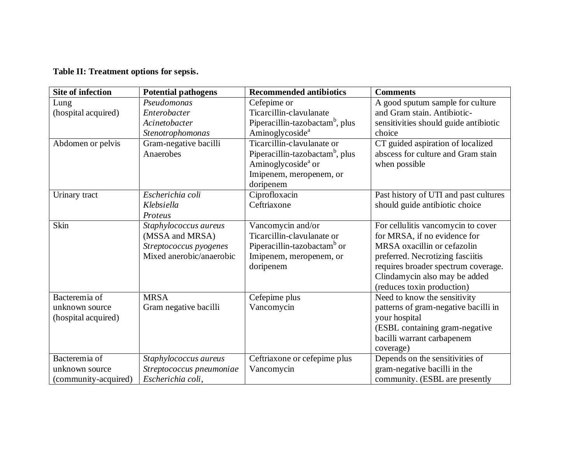## **Table II: Treatment options for sepsis.**

| <b>Site of infection</b> | <b>Potential pathogens</b> | <b>Recommended antibiotics</b>              | <b>Comments</b>                       |
|--------------------------|----------------------------|---------------------------------------------|---------------------------------------|
| Lung                     | Pseudomonas                | Cefepime or                                 | A good sputum sample for culture      |
| (hospital acquired)      | Enterobacter               | Ticarcillin-clavulanate                     | and Gram stain. Antibiotic-           |
|                          | Acinetobacter              | Piperacillin-tazobactam <sup>b</sup> , plus | sensitivities should guide antibiotic |
|                          | Stenotrophomonas           | Aminoglycoside <sup>a</sup>                 | choice                                |
| Abdomen or pelvis        | Gram-negative bacilli      | Ticarcillin-clavulanate or                  | CT guided aspiration of localized     |
|                          | Anaerobes                  | Piperacillin-tazobactam <sup>b</sup> , plus | abscess for culture and Gram stain    |
|                          |                            | Aminoglycoside <sup>a</sup> or              | when possible                         |
|                          |                            | Imipenem, meropenem, or                     |                                       |
|                          |                            | doripenem                                   |                                       |
| Urinary tract            | Escherichia coli           | Ciprofloxacin                               | Past history of UTI and past cultures |
|                          | Klebsiella                 | Ceftriaxone                                 | should guide antibiotic choice        |
|                          | Proteus                    |                                             |                                       |
| Skin                     | Staphylococcus aureus      | Vancomycin and/or                           | For cellulitis vancomycin to cover    |
|                          | (MSSA and MRSA)            | Ticarcillin-clavulanate or                  | for MRSA, if no evidence for          |
|                          | Streptococcus pyogenes     | Piperacillin-tazobactam <sup>b</sup> or     | MRSA oxacillin or cefazolin           |
|                          | Mixed anerobic/anaerobic   | Imipenem, meropenem, or                     | preferred. Necrotizing fasciitis      |
|                          |                            | doripenem                                   | requires broader spectrum coverage.   |
|                          |                            |                                             | Clindamycin also may be added         |
|                          |                            |                                             | (reduces toxin production)            |
| Bacteremia of            | <b>MRSA</b>                | Cefepime plus                               | Need to know the sensitivity          |
| unknown source           | Gram negative bacilli      | Vancomycin                                  | patterns of gram-negative bacilli in  |
| (hospital acquired)      |                            |                                             | your hospital                         |
|                          |                            |                                             | (ESBL containing gram-negative        |
|                          |                            |                                             | bacilli warrant carbapenem            |
|                          |                            |                                             | coverage)                             |
| Bacteremia of            | Staphylococcus aureus      | Ceftriaxone or cefepime plus                | Depends on the sensitivities of       |
| unknown source           | Streptococcus pneumoniae   | Vancomycin                                  | gram-negative bacilli in the          |
| (community-acquired)     | Escherichia coli,          |                                             | community. (ESBL are presently        |